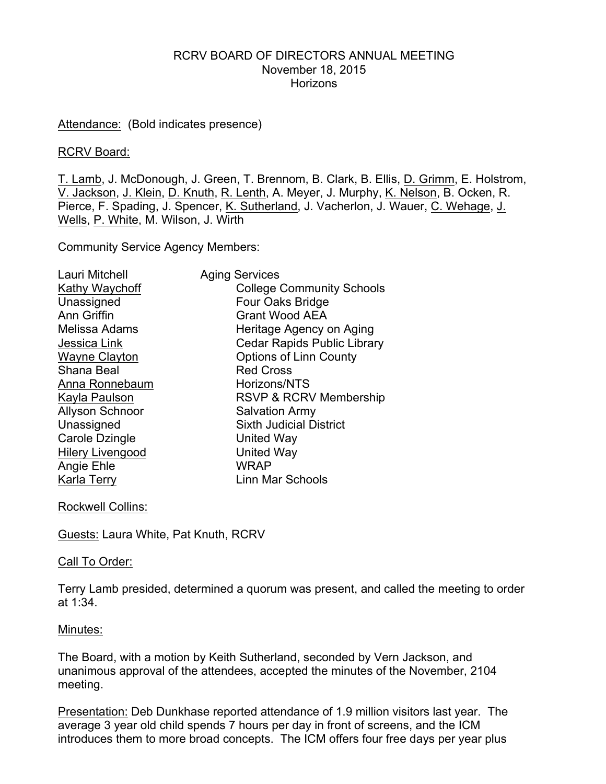## RCRV BOARD OF DIRECTORS ANNUAL MEETING November 18, 2015 **Horizons**

Attendance: (Bold indicates presence)

### RCRV Board:

T. Lamb, J. McDonough, J. Green, T. Brennom, B. Clark, B. Ellis, D. Grimm, E. Holstrom, V. Jackson, J. Klein, D. Knuth, R. Lenth, A. Meyer, J. Murphy, K. Nelson, B. Ocken, R. Pierce, F. Spading, J. Spencer, K. Sutherland, J. Vacherlon, J. Wauer, C. Wehage, J. Wells, P. White, M. Wilson, J. Wirth

Community Service Agency Members:

| Lauri Mitchell          | <b>Aging Services</b>              |
|-------------------------|------------------------------------|
| Kathy Waychoff          | <b>College Community Schools</b>   |
| Unassigned              | Four Oaks Bridge                   |
| Ann Griffin             | <b>Grant Wood AEA</b>              |
| Melissa Adams           | Heritage Agency on Aging           |
| Jessica Link            | <b>Cedar Rapids Public Library</b> |
| <b>Wayne Clayton</b>    | <b>Options of Linn County</b>      |
| Shana Beal              | <b>Red Cross</b>                   |
| Anna Ronnebaum          | Horizons/NTS                       |
| Kayla Paulson           | <b>RSVP &amp; RCRV Membership</b>  |
| <b>Allyson Schnoor</b>  | <b>Salvation Army</b>              |
| Unassigned              | <b>Sixth Judicial District</b>     |
| Carole Dzingle          | United Way                         |
| <b>Hilery Livengood</b> | <b>United Way</b>                  |
| Angie Ehle              | <b>WRAP</b>                        |
| Karla Terry             | Linn Mar Schools                   |

Rockwell Collins:

Guests: Laura White, Pat Knuth, RCRV

# Call To Order:

Terry Lamb presided, determined a quorum was present, and called the meeting to order at 1:34.

# Minutes:

The Board, with a motion by Keith Sutherland, seconded by Vern Jackson, and unanimous approval of the attendees, accepted the minutes of the November, 2104 meeting.

Presentation: Deb Dunkhase reported attendance of 1.9 million visitors last year. The average 3 year old child spends 7 hours per day in front of screens, and the ICM introduces them to more broad concepts. The ICM offers four free days per year plus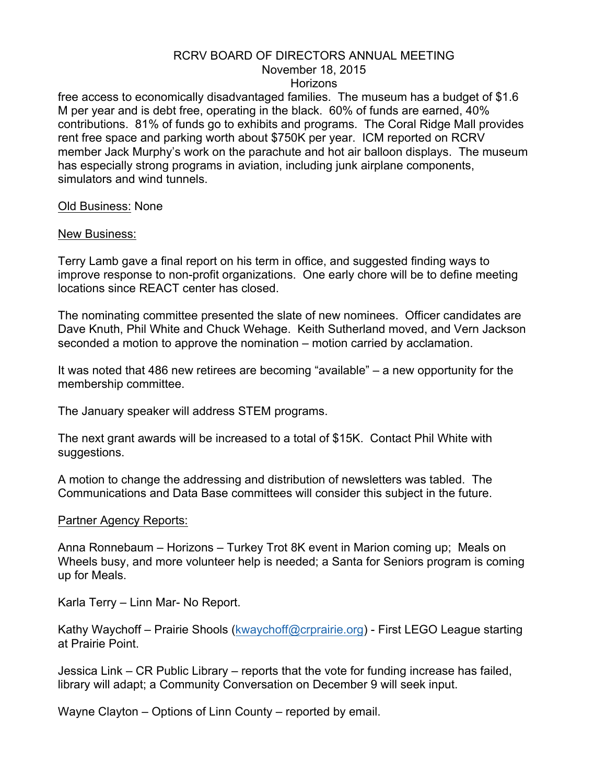## RCRV BOARD OF DIRECTORS ANNUAL MEETING

# November 18, 2015

### **Horizons**

free access to economically disadvantaged families. The museum has a budget of \$1.6 M per year and is debt free, operating in the black. 60% of funds are earned, 40% contributions. 81% of funds go to exhibits and programs. The Coral Ridge Mall provides rent free space and parking worth about \$750K per year. ICM reported on RCRV member Jack Murphy's work on the parachute and hot air balloon displays. The museum has especially strong programs in aviation, including junk airplane components, simulators and wind tunnels.

Old Business: None

### New Business:

Terry Lamb gave a final report on his term in office, and suggested finding ways to improve response to non-profit organizations. One early chore will be to define meeting locations since REACT center has closed.

The nominating committee presented the slate of new nominees. Officer candidates are Dave Knuth, Phil White and Chuck Wehage. Keith Sutherland moved, and Vern Jackson seconded a motion to approve the nomination – motion carried by acclamation.

It was noted that 486 new retirees are becoming "available" – a new opportunity for the membership committee.

The January speaker will address STEM programs.

The next grant awards will be increased to a total of \$15K. Contact Phil White with suggestions.

A motion to change the addressing and distribution of newsletters was tabled. The Communications and Data Base committees will consider this subject in the future.

#### Partner Agency Reports:

Anna Ronnebaum – Horizons – Turkey Trot 8K event in Marion coming up; Meals on Wheels busy, and more volunteer help is needed; a Santa for Seniors program is coming up for Meals.

Karla Terry – Linn Mar- No Report.

Kathy Waychoff – Prairie Shools (kwaychoff@crprairie.org) - First LEGO League starting at Prairie Point.

Jessica Link – CR Public Library – reports that the vote for funding increase has failed, library will adapt; a Community Conversation on December 9 will seek input.

Wayne Clayton – Options of Linn County – reported by email.